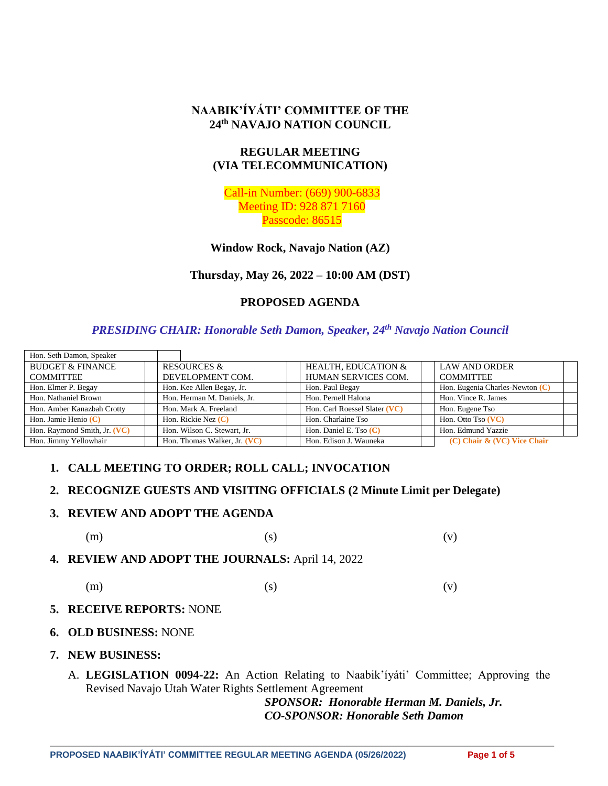#### **NAABIK'ÍYÁTI' COMMITTEE OF THE 24th NAVAJO NATION COUNCIL**

## **REGULAR MEETING (VIA TELECOMMUNICATION)**

Call-in Number: (669) 900-6833 Meeting ID: 928 871 7160 Passcode: 86515

**Window Rock, Navajo Nation (AZ)**

**Thursday, May 26, 2022 – 10:00 AM (DST)**

# **PROPOSED AGENDA**

#### *PRESIDING CHAIR: Honorable Seth Damon, Speaker, 24th Navajo Nation Council*

| Hon. Seth Damon, Speaker     |                              |                                |                                   |
|------------------------------|------------------------------|--------------------------------|-----------------------------------|
| <b>BUDGET &amp; FINANCE</b>  | <b>RESOURCES &amp;</b>       | <b>HEALTH. EDUCATION &amp;</b> | <b>LAW AND ORDER</b>              |
| <b>COMMITTEE</b>             | DEVELOPMENT COM.             | HUMAN SERVICES COM.            | <b>COMMITTEE</b>                  |
| Hon. Elmer P. Begay          | Hon. Kee Allen Begay, Jr.    | Hon. Paul Begay                | Hon. Eugenia Charles-Newton $(C)$ |
| Hon. Nathaniel Brown         | Hon. Herman M. Daniels, Jr.  | Hon. Pernell Halona            | Hon. Vince R. James               |
| Hon. Amber Kanazbah Crotty   | Hon. Mark A. Freeland        | Hon. Carl Roessel Slater (VC)  | Hon. Eugene Tso                   |
| Hon. Jamie Henio $(C)$       | Hon. Rickie Nez $(C)$        | Hon. Charlaine Tso             | Hon. Otto Tso (VC)                |
| Hon. Raymond Smith, Jr. (VC) | Hon. Wilson C. Stewart, Jr.  | Hon. Daniel E. Tso $(C)$       | Hon. Edmund Yazzie                |
| Hon. Jimmy Yellowhair        | Hon. Thomas Walker, Jr. (VC) | Hon. Edison J. Wauneka         | $(C)$ Chair & $(VC)$ Vice Chair   |

# **1. CALL MEETING TO ORDER; ROLL CALL; INVOCATION**

#### **2. RECOGNIZE GUESTS AND VISITING OFFICIALS (2 Minute Limit per Delegate)**

#### **3. REVIEW AND ADOPT THE AGENDA**

```
(m) (s) (s)
```
**4. REVIEW AND ADOPT THE JOURNALS:** April 14, 2022

$$
\text{(m)}\qquad \qquad \text{(s)}\qquad \qquad \text{(v)}
$$

#### **5. RECEIVE REPORTS:** NONE

- **6. OLD BUSINESS:** NONE
- **7. NEW BUSINESS:**
	- A. **LEGISLATION 0094-22:** An Action Relating to Naabik'íyáti' Committee; Approving the Revised Navajo Utah Water Rights Settlement Agreement

*SPONSOR: Honorable Herman M. Daniels, Jr. CO-SPONSOR: Honorable Seth Damon*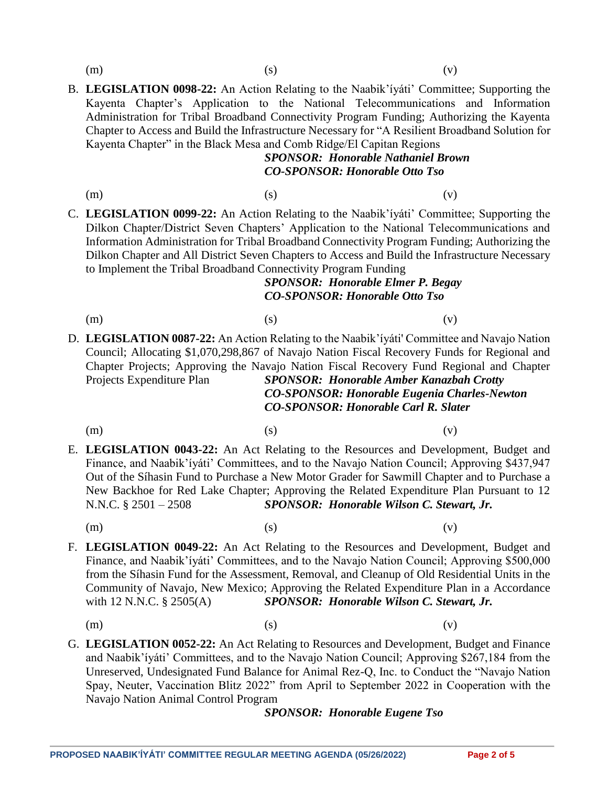B. **LEGISLATION 0098-22:** An Action Relating to the Naabik'íyáti' Committee; Supporting the Kayenta Chapter's Application to the National Telecommunications and Information Administration for Tribal Broadband Connectivity Program Funding; Authorizing the Kayenta Chapter to Access and Build the Infrastructure Necessary for "A Resilient Broadband Solution for Kayenta Chapter" in the Black Mesa and Comb Ridge/El Capitan Regions

# *SPONSOR: Honorable Nathaniel Brown CO-SPONSOR: Honorable Otto Tso*

(m)  $(s)$  (c)

C. **LEGISLATION 0099-22:** An Action Relating to the Naabik'íyáti' Committee; Supporting the Dilkon Chapter/District Seven Chapters' Application to the National Telecommunications and Information Administration for Tribal Broadband Connectivity Program Funding; Authorizing the Dilkon Chapter and All District Seven Chapters to Access and Build the Infrastructure Necessary to Implement the Tribal Broadband Connectivity Program Funding

## *SPONSOR: Honorable Elmer P. Begay CO-SPONSOR: Honorable Otto Tso*

- (m)  $(s)$  (c)
- D. **LEGISLATION 0087-22:** An Action Relating to the Naabik'íyáti' Committee and Navajo Nation Council; Allocating \$1,070,298,867 of Navajo Nation Fiscal Recovery Funds for Regional and Chapter Projects; Approving the Navajo Nation Fiscal Recovery Fund Regional and Chapter Projects Expenditure Plan *SPONSOR: Honorable Amber Kanazbah Crotty CO-SPONSOR: Honorable Eugenia Charles-Newton*

*CO-SPONSOR: Honorable Carl R. Slater*

(m)  $(s)$  (c)

- E. **LEGISLATION 0043-22:** An Act Relating to the Resources and Development, Budget and Finance, and Naabik'íyáti' Committees, and to the Navajo Nation Council; Approving \$437,947 Out of the Síhasin Fund to Purchase a New Motor Grader for Sawmill Chapter and to Purchase a New Backhoe for Red Lake Chapter; Approving the Related Expenditure Plan Pursuant to 12 N.N.C. § 2501 – 2508 *SPONSOR: Honorable Wilson C. Stewart, Jr.*
	-

(m)  $(s)$  (c)

- F. **LEGISLATION 0049-22:** An Act Relating to the Resources and Development, Budget and Finance, and Naabik'íyáti' Committees, and to the Navajo Nation Council; Approving \$500,000 from the Síhasin Fund for the Assessment, Removal, and Cleanup of Old Residential Units in the Community of Navajo, New Mexico; Approving the Related Expenditure Plan in a Accordance with 12 N.N.C. § 2505(A) **SPONSOR: Honorable Wilson C. Stewart, Jr.** 
	- (m)  $(s)$  (c)
- G. **LEGISLATION 0052-22:** An Act Relating to Resources and Development, Budget and Finance and Naabik'íyáti' Committees, and to the Navajo Nation Council; Approving \$267,184 from the Unreserved, Undesignated Fund Balance for Animal Rez-Q, Inc. to Conduct the "Navajo Nation Spay, Neuter, Vaccination Blitz 2022" from April to September 2022 in Cooperation with the Navajo Nation Animal Control Program

*SPONSOR: Honorable Eugene Tso*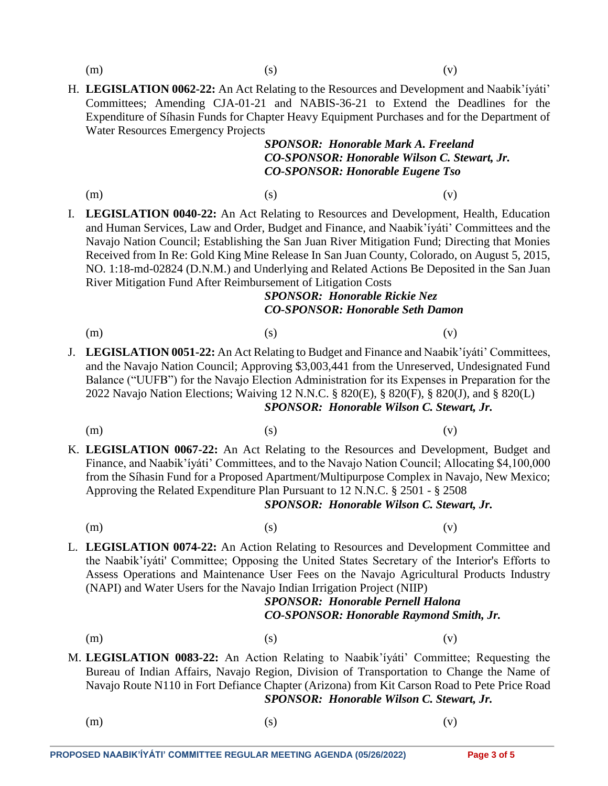H. **LEGISLATION 0062-22:** An Act Relating to the Resources and Development and Naabik'íyáti' Committees; Amending CJA-01-21 and NABIS-36-21 to Extend the Deadlines for the Expenditure of Síhasin Funds for Chapter Heavy Equipment Purchases and for the Department of Water Resources Emergency Projects

#### *SPONSOR: Honorable Mark A. Freeland CO-SPONSOR: Honorable Wilson C. Stewart, Jr. CO-SPONSOR: Honorable Eugene Tso*

(m)  $(s)$  (c)

I. **LEGISLATION 0040-22:** An Act Relating to Resources and Development, Health, Education and Human Services, Law and Order, Budget and Finance, and Naabik'íyáti' Committees and the Navajo Nation Council; Establishing the San Juan River Mitigation Fund; Directing that Monies Received from In Re: Gold King Mine Release In San Juan County, Colorado, on August 5, 2015, NO. 1:18-md-02824 (D.N.M.) and Underlying and Related Actions Be Deposited in the San Juan River Mitigation Fund After Reimbursement of Litigation Costs

# *SPONSOR: Honorable Rickie Nez CO-SPONSOR: Honorable Seth Damon*

- (m)  $(s)$  (c)
- J. **LEGISLATION 0051-22:** An Act Relating to Budget and Finance and Naabik'íyáti' Committees, and the Navajo Nation Council; Approving \$3,003,441 from the Unreserved, Undesignated Fund Balance ("UUFB") for the Navajo Election Administration for its Expenses in Preparation for the 2022 Navajo Nation Elections; Waiving 12 N.N.C. § 820(E), § 820(F), § 820(J), and § 820(L) *SPONSOR: Honorable Wilson C. Stewart, Jr.*
	-
	- (m)  $(s)$  (c)
		-
- K. **LEGISLATION 0067-22:** An Act Relating to the Resources and Development, Budget and Finance, and Naabik'íyáti' Committees, and to the Navajo Nation Council; Allocating \$4,100,000 from the Síhasin Fund for a Proposed Apartment/Multipurpose Complex in Navajo, New Mexico; Approving the Related Expenditure Plan Pursuant to 12 N.N.C. § 2501 - § 2508

#### *SPONSOR: Honorable Wilson C. Stewart, Jr.*

(m)  $(s)$  (c)

L. **LEGISLATION 0074-22:** An Action Relating to Resources and Development Committee and the Naabik'íyáti' Committee; Opposing the United States Secretary of the Interior's Efforts to Assess Operations and Maintenance User Fees on the Navajo Agricultural Products Industry (NAPI) and Water Users for the Navajo Indian Irrigation Project (NIIP)

# *SPONSOR: Honorable Pernell Halona CO-SPONSOR: Honorable Raymond Smith, Jr.*

(m)  $(s)$  (c)

- M. **LEGISLATION 0083-22:** An Action Relating to Naabik'íyáti' Committee; Requesting the Bureau of Indian Affairs, Navajo Region, Division of Transportation to Change the Name of Navajo Route N110 in Fort Defiance Chapter (Arizona) from Kit Carson Road to Pete Price Road *SPONSOR: Honorable Wilson C. Stewart, Jr.*
	-
	- (m)  $(s)$  (c)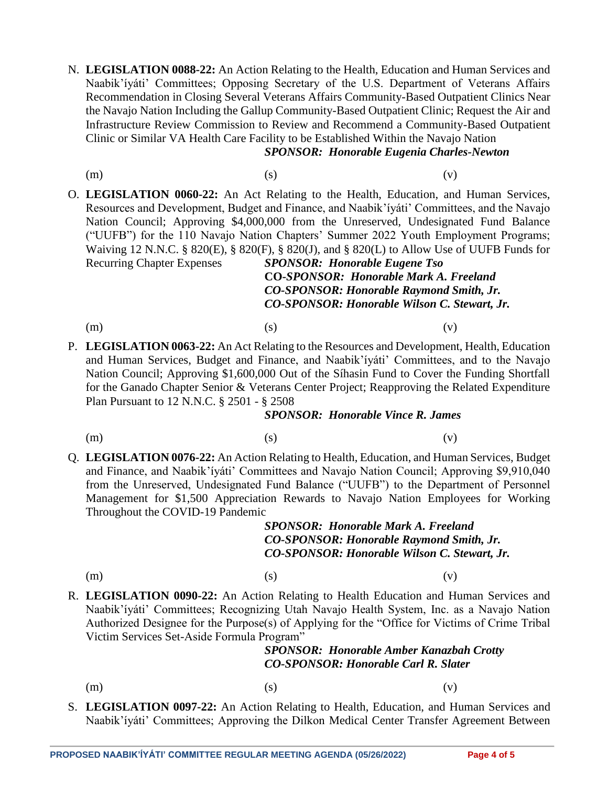N. **LEGISLATION 0088-22:** An Action Relating to the Health, Education and Human Services and Naabik'íyáti' Committees; Opposing Secretary of the U.S. Department of Veterans Affairs Recommendation in Closing Several Veterans Affairs Community-Based Outpatient Clinics Near the Navajo Nation Including the Gallup Community-Based Outpatient Clinic; Request the Air and Infrastructure Review Commission to Review and Recommend a Community-Based Outpatient Clinic or Similar VA Health Care Facility to be Established Within the Navajo Nation

# *SPONSOR: Honorable Eugenia Charles-Newton*

- 
- (m)  $(s)$  (c)
- O. **LEGISLATION 0060-22:** An Act Relating to the Health, Education, and Human Services, Resources and Development, Budget and Finance, and Naabik'íyáti' Committees, and the Navajo Nation Council; Approving \$4,000,000 from the Unreserved, Undesignated Fund Balance ("UUFB") for the 110 Navajo Nation Chapters' Summer 2022 Youth Employment Programs; Waiving 12 N.N.C. § 820(E), § 820(F), § 820(J), and § 820(L) to Allow Use of UUFB Funds for Recurring Chapter Expenses *SPONSOR: Honorable Eugene Tso*

**CO-***SPONSOR: Honorable Mark A. Freeland CO-SPONSOR: Honorable Raymond Smith, Jr. CO-SPONSOR: Honorable Wilson C. Stewart, Jr.*

(m)  $(s)$  (c)

P. **LEGISLATION 0063-22:** An Act Relating to the Resources and Development, Health, Education and Human Services, Budget and Finance, and Naabik'íyáti' Committees, and to the Navajo Nation Council; Approving \$1,600,000 Out of the Síhasin Fund to Cover the Funding Shortfall for the Ganado Chapter Senior & Veterans Center Project; Reapproving the Related Expenditure Plan Pursuant to 12 N.N.C. § 2501 - § 2508

#### *SPONSOR: Honorable Vince R. James*

(m)  $(s)$  (c)

Q. **LEGISLATION 0076-22:** An Action Relating to Health, Education, and Human Services, Budget and Finance, and Naabik'íyáti' Committees and Navajo Nation Council; Approving \$9,910,040 from the Unreserved, Undesignated Fund Balance ("UUFB") to the Department of Personnel Management for \$1,500 Appreciation Rewards to Navajo Nation Employees for Working Throughout the COVID-19 Pandemic

## *SPONSOR: Honorable Mark A. Freeland CO-SPONSOR: Honorable Raymond Smith, Jr. CO-SPONSOR: Honorable Wilson C. Stewart, Jr.*

#### (m)  $(s)$  (c)

R. **LEGISLATION 0090-22:** An Action Relating to Health Education and Human Services and Naabik'íyáti' Committees; Recognizing Utah Navajo Health System, Inc. as a Navajo Nation Authorized Designee for the Purpose(s) of Applying for the "Office for Victims of Crime Tribal Victim Services Set-Aside Formula Program"

# *SPONSOR: Honorable Amber Kanazbah Crotty CO-SPONSOR: Honorable Carl R. Slater*

- 
- (m)  $(s)$  (c)
- S. **LEGISLATION 0097-22:** An Action Relating to Health, Education, and Human Services and Naabik'íyáti' Committees; Approving the Dilkon Medical Center Transfer Agreement Between